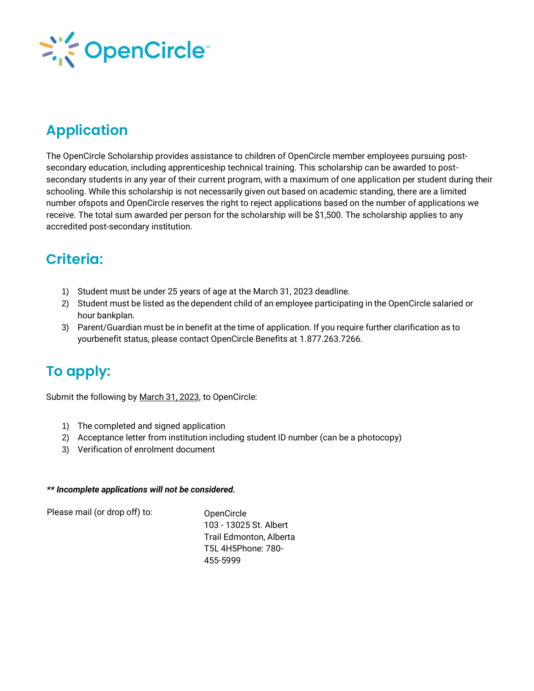

# **Application**

The OpenCircle Scholarship provides assistance to children of OpenCircle member employees pursuing postsecondary education, including apprenticeship technical training. This scholarship can be awarded to postsecondary students in any year of their current program, with a maximum of one application per student during their schooling. While this scholarship is not necessarily given out based on academic standing, there are a limited number ofspots and OpenCircle reserves the right to reject applications based on the number of applications we receive. The total sum awarded per person for the scholarship will be \$1,500. The scholarship applies to any accredited post-secondary institution.

### **Criteria:**

- 1) Student must be under 25 years of age at the March 31, 2023 deadline.
- 2) Student must be listed as the dependent child of an employee participating in the OpenCircle salaried or hour bankplan.
- 3) Parent/Guardian must be in benefit at the time of application. If you require further clarification as to yourbenefit status, please contact OpenCircle Benefits at 1.877.263.7266.

# **To apply:**

Submit the following by March 31, 2023, to OpenCircle:

- 1) The completed and signed application
- 2) Acceptance letter from institution including student ID number (can be a photocopy)
- 3) Verification of enrolment document

#### *\*\* Incomplete applications will not be considered.*

Please mail (or drop off) to: OpenCircle

103 - 13025 St. Albert Trail Edmonton, Alberta T5L 4H5Phone: 780- 455-5999